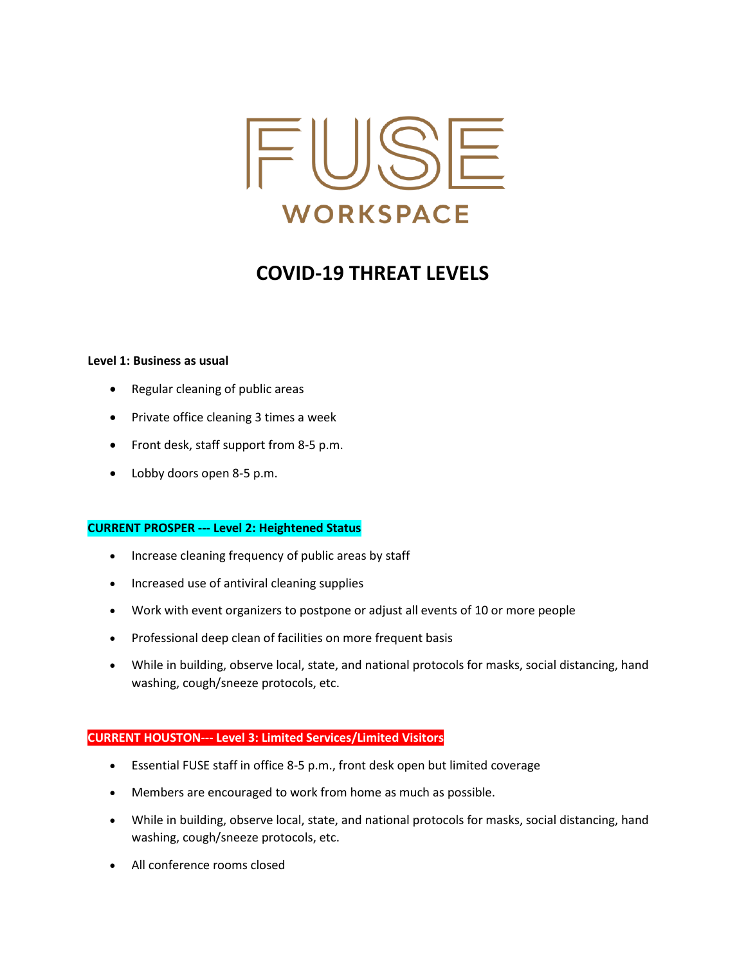

# **COVID-19 THREAT LEVELS**

### **Level 1: Business as usual**

- Regular cleaning of public areas
- Private office cleaning 3 times a week
- Front desk, staff support from 8-5 p.m.
- Lobby doors open 8-5 p.m.

#### **CURRENT PROSPER --- Level 2: Heightened Status**

- Increase cleaning frequency of public areas by staff
- Increased use of antiviral cleaning supplies
- Work with event organizers to postpone or adjust all events of 10 or more people
- Professional deep clean of facilities on more frequent basis
- While in building, observe local, state, and national protocols for masks, social distancing, hand washing, cough/sneeze protocols, etc.

### **CURRENT HOUSTON--- Level 3: Limited Services/Limited Visitors**

- Essential FUSE staff in office 8-5 p.m., front desk open but limited coverage
- Members are encouraged to work from home as much as possible.
- While in building, observe local, state, and national protocols for masks, social distancing, hand washing, cough/sneeze protocols, etc.
- All conference rooms closed